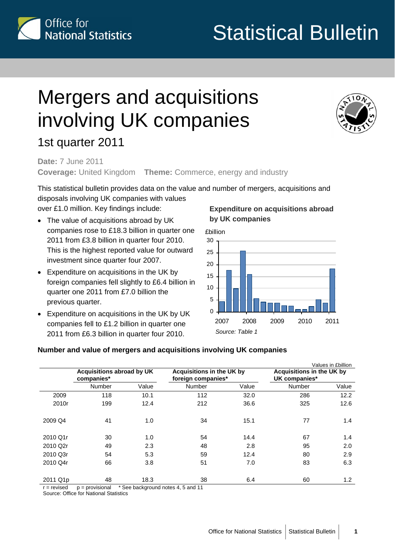

1st quarter 2011

# Statistical Bulletin

# Mergers and acquisitions involving UK companies



**Date:** 7 June 2011 **Coverage:** United Kingdom **Theme:** Commerce, energy and industry

This statistical bulletin provides data on the value and number of mergers, acquisitions and disposals involving UK companies with values over £1.0 million. Key findings include:

- The value of acquisitions abroad by UK companies rose to £18.3 billion in quarter one 2011 from £3.8 billion in quarter four 2010. This is the highest reported value for outward investment since quarter four 2007.
- Expenditure on acquisitions in the UK by foreign companies fell slightly to £6.4 billion in quarter one 2011 from £7.0 billion the previous quarter.
- Expenditure on acquisitions in the UK by UK companies fell to £1.2 billion in quarter one 2011 from £6.3 billion in quarter four 2010.

#### **Expenditure on acquisitions abroad by UK companies**



#### **Number and value of mergers and acquisitions involving UK companies**

|          |                                         |       |               |                                                        |               | Values in £billion                         |  |
|----------|-----------------------------------------|-------|---------------|--------------------------------------------------------|---------------|--------------------------------------------|--|
|          | Acquisitions abroad by UK<br>companies* |       |               | <b>Acquisitions in the UK by</b><br>foreign companies* |               | Acquisitions in the UK by<br>UK companies* |  |
|          | Number                                  | Value | <b>Number</b> | Value                                                  | <b>Number</b> | Value                                      |  |
| 2009     | 118                                     | 10.1  | 112           | 32.0                                                   | 286           | 12.2                                       |  |
| 2010r    | 199                                     | 12.4  | 212           | 36.6                                                   | 325           | 12.6                                       |  |
| 2009 Q4  | 41                                      | 1.0   | 34            | 15.1                                                   | 77            | 1.4                                        |  |
| 2010 Q1r | 30                                      | 1.0   | 54            | 14.4                                                   | 67            | 1.4                                        |  |
| 2010 Q2r | 49                                      | 2.3   | 48            | 2.8                                                    | 95            | 2.0                                        |  |
| 2010 Q3r | 54                                      | 5.3   | 59            | 12.4                                                   | 80            | 2.9                                        |  |
| 2010 Q4r | 66                                      | 3.8   | 51            | 7.0                                                    | 83            | 6.3                                        |  |
| 2011 Q1p | 48                                      | 18.3  | 38            | 6.4                                                    | 60            | 1.2                                        |  |

 $r =$  revised  $p =$  provisional  $r =$  See background notes 4, 5 and 11

Source: Office for National Statistics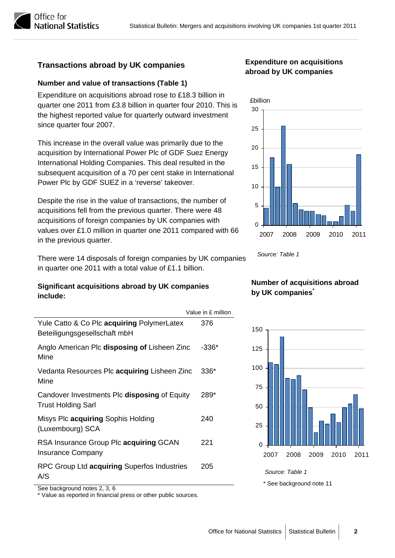### **abroad by UK companies Transactions abroad by UK companies**

#### **Number and value of transactions (Table 1)**

Expenditure on acquisitions abroad rose to £18.3 billion in quarter one 2011 from £3.8 billion in quarter four 2010. This is the highest reported value for quarterly outward investment since quarter four 2007.

This increase in the overall value was primarily due to the acquisition by International Power Plc of GDF Suez Energy International Holding Companies. This deal resulted in the subsequent acquisition of a 70 per cent stake in International Power Plc by GDF SUEZ in a 'reverse' takeover.

Despite the rise in the value of transactions, the number of acquisitions fell from the previous quarter. There were 48 acquisitions of foreign companies by UK companies with values over £1.0 million in quarter one 2011 compared with 66 in the previous quarter.

*Source: Table 1* There were 14 disposals of foreign companies by UK companies in quarter one 2011 with a total value of £1.1 billion.

#### **by UK companies\* Significant acquisitions abroad by UK companies include:**

|                                                                            | Value in £ million |                           |
|----------------------------------------------------------------------------|--------------------|---------------------------|
| Yule Catto & Co Plc acquiring PolymerLatex<br>Beteiligungsgesellschaft mbH | 376                | 150                       |
| Anglo American Plc disposing of Lisheen Zinc<br>Mine                       | $-336*$            | 125                       |
| Vedanta Resources Plc acquiring Lisheen Zinc<br>Mine                       | 336*               | 100                       |
| Candover Investments PIc disposing of Equity<br><b>Trust Holding Sarl</b>  | 289*               | 75<br>50                  |
| Misys Plc acquiring Sophis Holding<br>(Luxembourg) SCA                     | 240                | 25                        |
| RSA Insurance Group Plc acquiring GCAN<br><b>Insurance Company</b>         | 221                | 0<br>2008<br>2009<br>2007 |
| RPC Group Ltd acquiring Superfos Industries<br>A/S                         | 205                | Source: Table 1           |
| See background notes 2, 3, 6                                               |                    | * See background note 11  |

\* Value as reported in financial press or other public sources.

# **Expenditure on acquisitions**



# **Number of acquisitions abroad**





**National Statistics**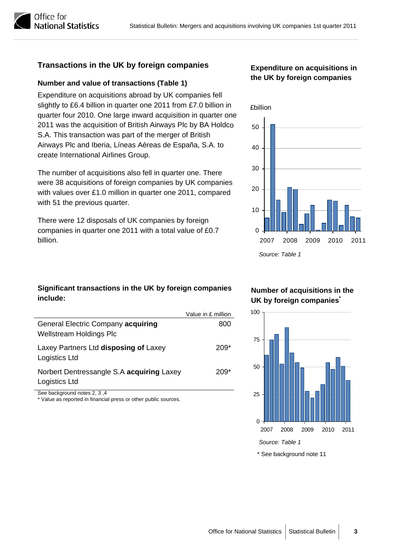### **Transactions in the UK by foreign companies Expenditure on acquisitions in**

### **the UK by foreign companies Number and value of transactions (Table 1)**

Expenditure on acquisitions abroad by UK companies fell slightly to £6.4 billion in quarter one 2011 from £7.0 billion in quarter four 2010. One large inward acquisition in quarter o ne 2011 was the acquisition of British Airways Plc by BA Holdc o S.A. This transaction was part of the merger of British Airways Plc and Iberia, Líneas Aéreas de España, S.A. to create International Airlines Group.

The number of acquisitions also fell in quarter one. There were 38 acquisitions of foreign companies by UK companies with values over £1.0 million in quarter one 2011, compared with 51 the previous quarter.

There were 12 disposals of UK companies by foreign companies in quarter one 2011 with a total value of £0.7 billion.



#### **Significant transactions in the UK by foreign companies include:**

|                                                                      | Value in £ million |
|----------------------------------------------------------------------|--------------------|
| General Electric Company acquiring<br><b>Wellstream Holdings Plc</b> | 800                |
| Laxey Partners Ltd disposing of Laxey<br>Logistics Ltd               | 209*               |
| Norbert Dentressangle S.A acquiring Laxey<br>Logistics Ltd           | 209*               |

See background notes 2, 3 ,4 Value as reported in financial press or other public sources.

**Number of acquisitions in the UK by foreign companies\***





Office for

**National Statistics**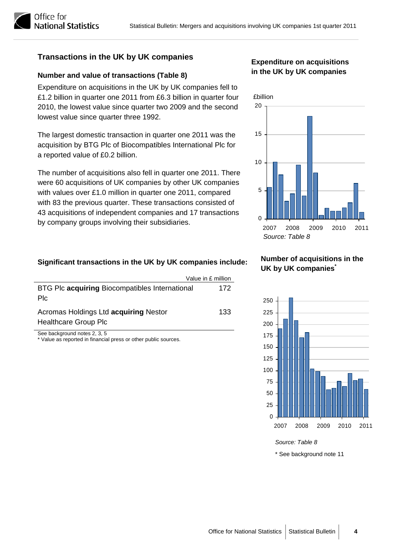#### **Transactions in the UK by UK companies**

#### **Number and value of transactions (Table 8)**

Expenditure on acquisitions in the UK by UK companies fell to £1.2 billion in quarter one 2011 from £6.3 billion in quarter four 2010, the lowest value since quarter two 2009 and the second lowest value since quarter three 1992.

The largest domestic transaction in quarter one 2011 was the acquisition by BTG Plc of Biocompatibles International Plc for a reported value of £0.2 billion.

The number of acquisitions also fell in quarter one 2011. T here were 60 acquisitions of UK companies by other UK compan ies with values over £1.0 million in quarter one 2011, compared with 83 the previous quarter. These transactions consisted o f 43 acquisitions of independent companies and 17 transactions by company groups involving their subsidiaries.

#### **Significant transactions in the UK by UK companies include:**

|                                                                      | Value in £ million |
|----------------------------------------------------------------------|--------------------|
| BTG Plc acquiring Biocompatibles International<br><b>PIc</b>         | 172                |
| Acromas Holdings Ltd acquiring Nestor<br><b>Healthcare Group Plc</b> | 133                |
| $Q_{\text{max}}$ is a set of the set of $Q_{\text{max}}$             |                    |

See background notes 2, 3, 5 Value as reported in financial press or other public sources.

#### **Expenditure on acquisitions in the UK by UK companies**



#### **Number of acquisitions in the UK by UK companies\***



*Source: Table 8* 

<sup>\*</sup> See background note 11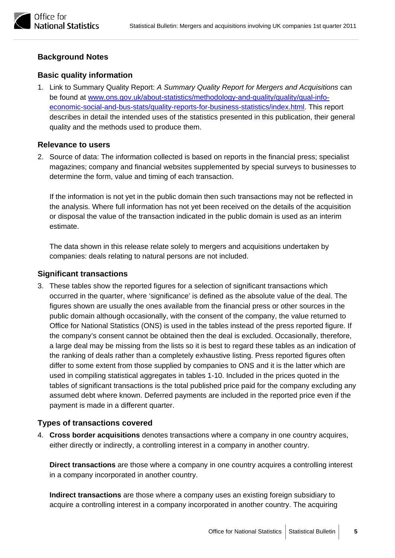#### **Background Notes**

#### **Basic quality information**

1. Link to Summary Quality Report: *A Summary Quality Report for Mergers and Acquisitions* can be found at [www.ons.gov.uk/about-statistics/methodology-and-quality/quality/qual-info](http://www.ons.gov.uk/about-statistics/methodology-and-quality/quality/qual-info-economic-social-and-bus-stats/quality-reports-for-business-statistics/index.html)[economic-social-and-bus-stats/quality-reports-for-business-statistics/index.html](http://www.ons.gov.uk/about-statistics/methodology-and-quality/quality/qual-info-economic-social-and-bus-stats/quality-reports-for-business-statistics/index.html). This report describes in detail the intended uses of the statistics presented in this publication, their general quality and the methods used to produce them.

#### **Relevance to users**

2. Source of data: The information collected is based on reports in the financial press; specialist magazines; company and financial websites supplemented by special surveys to businesses to determine the form, value and timing of each transaction.

If the information is not yet in the public domain then such transactions may not be reflected in the analysis. Where full information has not yet been received on the details of the acquisition or disposal the value of the transaction indicated in the public domain is used as an interim estimate.

The data shown in this release relate solely to mergers and acquisitions undertaken by companies: deals relating to natural persons are not included.

#### **Significant transactions**

3. These tables show the reported figures for a selection of significant transactions which occurred in the quarter, where 'significance' is defined as the absolute value of the deal. The figures shown are usually the ones available from the financial press or other sources in the public domain although occasionally, with the consent of the company, the value returned to Office for National Statistics (ONS) is used in the tables instead of the press reported figure. If the company's consent cannot be obtained then the deal is excluded. Occasionally, therefore, a large deal may be missing from the lists so it is best to regard these tables as an indication of the ranking of deals rather than a completely exhaustive listing. Press reported figures often differ to some extent from those supplied by companies to ONS and it is the latter which are used in compiling statistical aggregates in tables 1-10. Included in the prices quoted in the tables of significant transactions is the total published price paid for the company excluding any assumed debt where known. Deferred payments are included in the reported price even if the payment is made in a different quarter.

#### **Types of transactions covered**

4. **Cross border acquisitions** denotes transactions where a company in one country acquires, either directly or indirectly, a controlling interest in a company in another country.

**Direct transactions** are those where a company in one country acquires a controlling interest in a company incorporated in another country.

**Indirect transactions** are those where a company uses an existing foreign subsidiary to acquire a controlling interest in a company incorporated in another country. The acquiring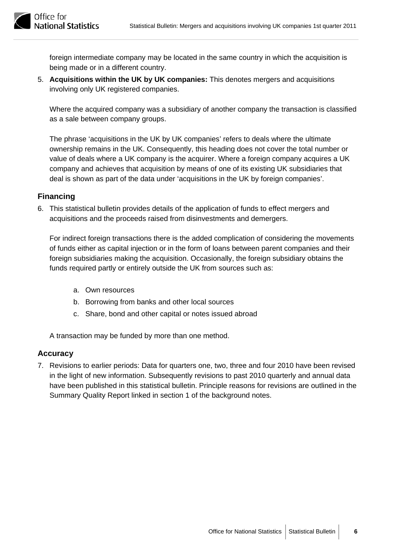

foreign intermediate company may be located in the same country in which the acquisition is being made or in a different country.

5. **Acquisitions within the UK by UK companies:** This denotes mergers and acquisitions involving only UK registered companies.

Where the acquired company was a subsidiary of another company the transaction is classified as a sale between company groups.

The phrase 'acquisitions in the UK by UK companies' refers to deals where the ultimate ownership remains in the UK. Consequently, this heading does not cover the total number or value of deals where a UK company is the acquirer. Where a foreign company acquires a UK company and achieves that acquisition by means of one of its existing UK subsidiaries that deal is shown as part of the data under 'acquisitions in the UK by foreign companies'.

#### **Financing**

6. This statistical bulletin provides details of the application of funds to effect mergers and acquisitions and the proceeds raised from disinvestments and demergers.

For indirect foreign transactions there is the added complication of considering the movements of funds either as capital injection or in the form of loans between parent companies and their foreign subsidiaries making the acquisition. Occasionally, the foreign subsidiary obtains the funds required partly or entirely outside the UK from sources such as:

- a. Own resources
- b. Borrowing from banks and other local sources
- c. Share, bond and other capital or notes issued abroad

A transaction may be funded by more than one method.

#### **Accuracy**

7. Revisions to earlier periods: Data for quarters one, two, three and four 2010 have been revised in the light of new information. Subsequently revisions to past 2010 quarterly and annual data have been published in this statistical bulletin. Principle reasons for revisions are outlined in the Summary Quality Report linked in section 1 of the background notes.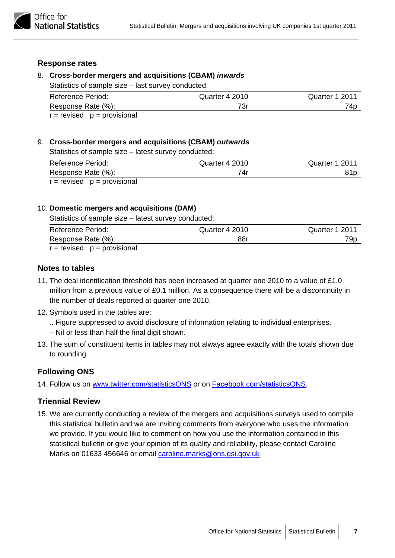#### **Response rates**

#### 8. **Cross-border mergers and acquisitions (CBAM)** *inwards*

Statistics of sample size – last survey conducted:

| Reference Period:               | Quarter 4 2010 | Quarter 1 2011 |
|---------------------------------|----------------|----------------|
| Response Rate (%):              | 73r            | 74p            |
| $r =$ revised $p =$ provisional |                |                |

#### 9. **Cross-border mergers and acquisitions (CBAM)** *outwards*

Statistics of sample size – latest survey conducted:

| Reference Period:               | Quarter 4 2010 | Quarter 1 2011 |
|---------------------------------|----------------|----------------|
| Response Rate (%):              | 74r            | 81 p           |
| $r =$ revised $p =$ provisional |                |                |

#### 10. **Domestic mergers and acquisitions (DAM)**

Statistics of sample size – latest survey conducted:

| <b>Reference Period:</b>        | Quarter 4 2010 | Quarter 1 2011 |
|---------------------------------|----------------|----------------|
| Response Rate (%):              | 88r            | 79p            |
| $r =$ revised $p =$ provisional |                |                |

#### **Notes to tables**

- 11. The deal identification threshold has been increased at quarter one 2010 to a value of £1.0 million from a previous value of £0.1 million. As a consequence there will be a discontinuity in the number of deals reported at quarter one 2010.
- 12. Symbols used in the tables are:
	- .. Figure suppressed to avoid disclosure of information relating to individual enterprises.
	- Nil or less than half the final digit shown.
- 13. The sum of constituent items in tables may not always agree exactly with the totals shown due to rounding.

#### **Following ONS**

14. Follow us on [www.twitter.com/statisticsONS](http://www.twitter.com/statisticsONS) or on [Facebook.com/statisticsONS.](http://www.facebook.com/statisticsONS)

#### **Triennial Review**

15. We are currently conducting a review of the mergers and acquisitions surveys used to compile this statistical bulletin and we are inviting comments from everyone who uses the information we provide. If you would like to comment on how you use the information contained in this statistical bulletin or give your opinion of its quality and reliability, please contact Caroline Marks on 01633 456646 or email [caroline.marks@ons.gsi.gov.uk](mailto:caroline.marks@ons.gsi.gov.uk)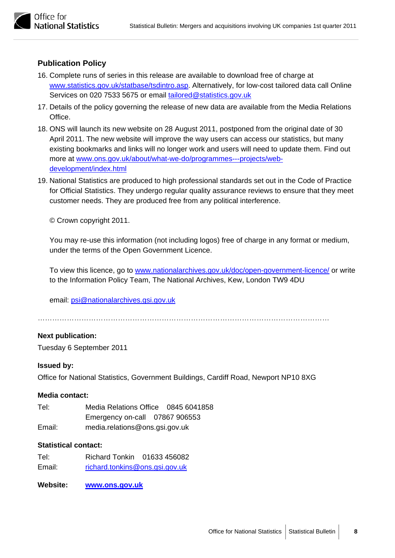

#### **Publication Policy**

- 16. Complete runs of series in this release are available to download free of charge at [www.statistics.gov.uk/statbase/tsdintro.asp.](http://www.statistics.gov.uk/statbase/tsdintro.asp) Alternatively, for low-cost tailored data call Online Services on 020 7533 5675 or email tailored@statistics.gov.uk
- 17. Details of the policy governing the release of new data are available from the Media Relations Office.
- 18. ONS will launch its new website on 28 August 2011, postponed from the original date of 30 April 2011. The new website will improve the way users can access our statistics, but many existing bookmarks and links will no longer work and users will need to update them. Find out more at [www.ons.gov.uk/about/what-we-do/programmes---projects/web](http://www.ons.gov.uk/about/what-we-do/programmes---projects/web-development/index.html)[development/index.html](http://www.ons.gov.uk/about/what-we-do/programmes---projects/web-development/index.html)
- 19. National Statistics are produced to high professional standards set out in the Code of Practice for Official Statistics. They undergo regular quality assurance reviews to ensure that they meet customer needs. They are produced free from any political interference.

© Crown copyright 2011.

You may re-use this information (not including logos) free of charge in any format or medium, under the terms of the Open Government Licence.

To view this licence, go to [www.nationalarchives.gov.uk/doc/open-government-licence/](http://www.nationalarchives.gov.uk/doc/open-government-licence/) or write to the Information Policy Team, The National Archives, Kew, London TW9 4DU

email: [psi@nationalarchives.gsi.gov.uk](mailto:psi@nationalarchives.gsi.gov.uk)

…………………………………………………………………………………………………………

#### **Next publication:**

Tuesday 6 September 2011

#### **Issued by:**

Office for National Statistics, Government Buildings, Cardiff Road, Newport NP10 8XG

#### **Media contact:**

Tel: Media Relations Office 0845 6041858 Emergency on-call 07867 906553 Email: media.relations@ons.gsi.gov.uk

#### **Statistical contact:**

- Tel: Richard Tonkin 01633 456082 Email: [richard.tonkins@ons.gsi.gov.uk](mailto:richard.tonkins@ons.gsi.gov.uk)
- **Website: [www.ons.gov.uk](http://www.ons.gov.uk/)**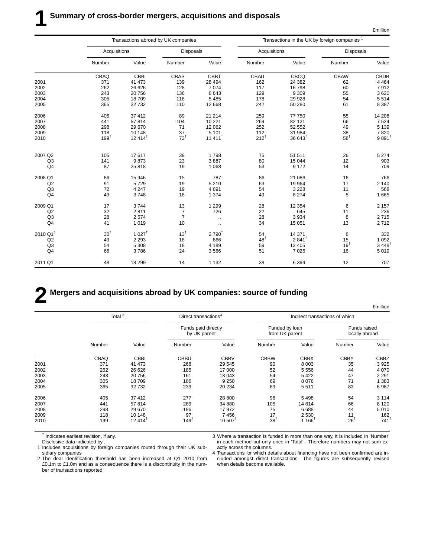|                      |                 |                   | Transactions abroad by UK companies |                      | Transactions in the UK by foreign companies 1 |                      |                  |                      |
|----------------------|-----------------|-------------------|-------------------------------------|----------------------|-----------------------------------------------|----------------------|------------------|----------------------|
|                      | Acquisitions    |                   | <b>Disposals</b>                    |                      | Acquisitions                                  |                      | <b>Disposals</b> |                      |
|                      | Number          | Value             | Number                              | Value                | Number                                        | Value                | Number           | Value                |
|                      | CBAQ            | CBBI              | CBAS                                | <b>CBBT</b>          | CBAU                                          | <b>CBCQ</b>          | <b>CBAW</b>      | CBDB                 |
| 2001                 | 371             | 41 473            | 139                                 | 28 4 94              | 162                                           | 24 3 8 2             | 62               | 4 4 6 4              |
| 2002                 | 262             | 26 6 26           | 128                                 | 7074                 | 117                                           | 16798                | 60               | 7912                 |
| 2003                 | 243             | 20756             | 136                                 | 8643                 | 129                                           | 9 3 0 9              | 55               | 3620                 |
| 2004                 | 305             | 18709             | 118                                 | 5485                 | 178                                           | 29 9 28              | 54               | 5514                 |
| 2005                 | 365             | 32732             | 110                                 | 12 6 68              | 242                                           | 50 280               | 61               | 8 3 8 7              |
| 2006                 | 405             | 37 412            | 89                                  | 21 214               | 259                                           | 77 750               | 55               | 14 208               |
| 2007                 | 441             | 57814             | 104                                 | 10 2 21              | 269                                           | 82 121               | 66               | 7 5 24               |
| 2008                 | 298             | 29 670            | 71                                  | 12 062               | 252                                           | 52 552               | 49               | 5 1 3 9              |
| 2009                 | 118             | 10 148            | 37                                  | 5 1 0 1              | 112                                           | 31 984               | 38               | 7820                 |
| 2010                 | $199^{\dagger}$ | $12414^{\dagger}$ | $73^{\dagger}$                      | $11411$ <sup>t</sup> | $212^{t}$                                     | $36643$ <sup>1</sup> | $58^{\dagger}$   | $9891$ <sup>t</sup>  |
|                      |                 |                   |                                     |                      |                                               |                      |                  |                      |
| 2007 Q2              | 105             | 17617             | 39                                  | 1798                 | 75                                            | 51 511               | 26               | 5 2 7 4              |
| Q3                   | 141             | 9873              | 23                                  | 3887                 | 80                                            | 15 044               | 12               | 903                  |
| Q <sub>4</sub>       | 87              | 25 818            | 19                                  | 1 0 6 8              | 53                                            | 9 1 7 2              | 14               | 709                  |
| 2008 Q1              | 86              | 15 946            | 15                                  | 787                  | 86                                            | 21 086               | 16               | 766                  |
| Q2                   | 91              | 5729              | 19                                  | 5 2 1 0              | 63                                            | 19 964               | 17               | 2 1 4 0              |
| Q3                   | 72              | 4 2 4 7           | 19                                  | 4691                 | 54                                            | 3 2 2 8              | 11               | 568                  |
| Q <sub>4</sub>       | 49              | 3748              | 18                                  | 1 3 7 4              | 49                                            | 8 2 7 4              | 5                | 1 6 6 5              |
| 2009 Q1              | 17              | 3744              | 13                                  | 1 2 9 9              | 28                                            | 12 3 54              | 6                | 2 1 5 7              |
| Q2                   | 32              | 2811              | 7                                   | 726                  | 22                                            | 645                  | 11               | 236                  |
| Q <sub>3</sub>       | 28              | 2574              | $\overline{7}$                      | $\cdot$ .            | 28                                            | 3 9 3 4              | 8                | 2715                 |
| Q <sub>4</sub>       | 41              | 1019              | 10                                  | $\ldots$             | 34                                            | 15 051               | 13               | 2712                 |
| 2010 Q1 <sup>2</sup> | $30^{\dagger}$  | $1027^{\dagger}$  | $13^{\dagger}$                      | $2790^{\dagger}$     | 54                                            | 14 371               | 8                | 332                  |
| Q2                   | 49              | 2 2 9 3           | 18                                  | 866                  | 48 <sup>†</sup>                               | $2841^{\dagger}$     | 15               | 1 0 9 2              |
| Q <sub>3</sub>       | 54              | 5 3 0 8           | 18                                  | 4 1 8 9              | 59                                            | 12 4 05              | 19 <sup>†</sup>  | $3,448$ <sup>†</sup> |
| Q <sub>4</sub>       | 66              | 3786              | 24                                  | 3566                 | 51                                            | 7 0 26               | 16               | 5019                 |
| 2011 Q1              | 48              | 18 299            | 14                                  | 1 1 3 2              | 38                                            | 6 3 9 4              | 12               | 707                  |

### **2 Mergers and acquisitions abroad by UK companies: source of funding**

£million Total 3 **Direct transactions Direct transactions Indirect transactions of which:** Funds paid directly **Funded by loan** Funds raised<br>by UK parent from UK parent locally abroad from UK parent Number Value Number Value Number Value Number Value CBAQ CBBI CBBU CBBV CBBW CBBX CBBY CBBZ 2001 371 41 473 268 29 545 90 8 003 35 3 925 2002 262 26 626 185 17 000 52 5 556 44 4 070 2003 243 20 756 161 13 043 54 5 422 47 2 291 2004 305 18 709 186 9 250 69 8 076 71 1 383 2005 365 32 732 239 20 234 69 5 511 83 6 987 2006 405 37 412 277 28 800 96 5 498 54 3 114 2007 441 57 814 289 34 880 105 14 814 66 8 120 2008 298 29 670 196 17 972 75 6 688 44 5 010 2009 118 10 148 97 7 456 17 2 530 11 162  $2010$   $199^{\dagger}$   $12\,414^{\dagger}$   $149^{\dagger}$   $10\,507^{\dagger}$   $38^{\dagger}$   $1\,166^{\dagger}$   $26^{\dagger}$   $741^{\dagger}$ 

† Indicates earliest revision, if any.

Disclosive data indicated by ..

1 Includes acquisitions by foreign companies routed through their UK subsidiary companies

2 The deal identification threshold has been increased at Q1 2010 from £0.1m to £1.0m and as a consequence there is a discontinuity in the number of transactions reported.

3 Where a transaction is funded in more than one way, it is included in 'Number' in each method but only once in 'Total'. Therefore numbers may not sum exactly across the columns.

4 Transactions for which details about financing have not been confirmed are included amongst direct transactions. The figures are subsequently revised when details become available.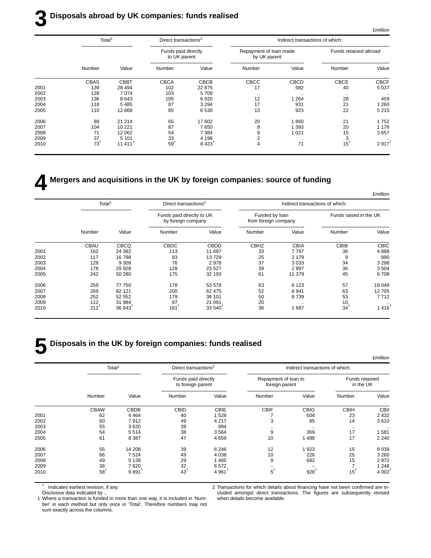### **3 Disposals abroad by UK companies: funds realised**

|      | Total <sup>1</sup> |                       | Direct transactions <sup>2</sup>    |                      | Indirect transactions of which:        |             |                       |                      |  |
|------|--------------------|-----------------------|-------------------------------------|----------------------|----------------------------------------|-------------|-----------------------|----------------------|--|
|      |                    |                       | Funds paid directly<br>to UK parent |                      | Repayment of loan made<br>by UK parent |             | Funds retained abroad |                      |  |
|      | Number             | Value                 | Number                              | Value                | Number                                 | Value       | Number                | Value                |  |
|      | CBAS               | <b>CBBT</b>           | <b>CBCA</b>                         | CBCB                 | CBCC                                   | <b>CBCD</b> | <b>CBCE</b>           | <b>CBCF</b>          |  |
| 2001 | 139                | 28 4 94               | 102                                 | 22 875               | 17                                     | 582         | 40                    | 5 0 3 7              |  |
| 2002 | 128                | 7074                  | 103                                 | 5709                 | $\cdot\cdot$                           | $\cdots$    | $\cdot$ .             | $\cdot$ .            |  |
| 2003 | 136                | 8643                  | 105                                 | 6920                 | 12                                     | 1 264       | 28                    | 459                  |  |
| 2004 | 118                | 5485                  | 87                                  | 3 2 9 4              | 17                                     | 931         | 21                    | 1 2 6 0              |  |
| 2005 | 110                | 12 668                | 85                                  | 6 5 3 0              | 13                                     | 923         | 22                    | 5 2 1 5              |  |
| 2006 | 89                 | 21 214                | 65                                  | 17 602               | 20                                     | 1860        | 21                    | 1752                 |  |
| 2007 | 104                | 10 2 21               | 87                                  | 7650                 | 8                                      | 1 393       | 20                    | 1 1 7 8              |  |
| 2008 | 71                 | 12 062                | 54                                  | 7 3 8 4              | 9                                      | 1021        | 15                    | 3657                 |  |
| 2009 | 37                 | 5 1 0 1               | 33                                  | 4 1 9 8              | 2                                      | $\cdots$    | 3                     |                      |  |
| 2010 | 73 <sup>†</sup>    | $11.411$ <sup>T</sup> | 59                                  | $8.423$ <sup>†</sup> | 4                                      | 71          | $15^{\dagger}$        | $2.917$ <sup>t</sup> |  |
|      |                    |                       |                                     |                      |                                        |             |                       |                      |  |

### **4 Mergers and acquisitions in the UK by foreign companies: source of funding**

|                      |                        | Indirect transactions of which: |                                        |              | Direct transactions <sup>2</sup>                |                   | Total <sup>1</sup> |      |  |
|----------------------|------------------------|---------------------------------|----------------------------------------|--------------|-------------------------------------------------|-------------------|--------------------|------|--|
|                      | Funds raised in the UK |                                 | Funded by Ioan<br>from foreign company |              | Funds paid directly to UK<br>by foreign company |                   |                    |      |  |
| Value                | Number                 | Value                           | Number                                 | Value        | Number                                          | Value             | Number             |      |  |
| <b>CBIC</b>          | CBIB                   | <b>CBIA</b>                     | <b>CBHZ</b>                            | <b>CBDD</b>  | <b>CBDC</b>                                     | <b>CBCQ</b>       | <b>CBAU</b>        |      |  |
| 4888                 | 36                     | 7797                            | 33                                     | 11 697       | 113                                             | 24 3 8 2          | 162                | 2001 |  |
| 890                  | 9                      | 2 1 7 9                         | 25                                     | 13729        | 93                                              | 16798             | 117                | 2002 |  |
| 3 2 9 8              | 34                     | 3033                            | 37                                     | 2978         | 76                                              | 9 3 0 9           | 129                | 2003 |  |
| 3504                 | 36                     | 2897                            | 39                                     | 23 5 27      | 128                                             | 29 9 28           | 178                | 2004 |  |
| 6708                 | 45                     | 11 379                          | 61                                     | 32 193       | 175                                             | 50 280            | 242                | 2005 |  |
| 18 049               | 57                     | 6 1 2 3                         | 63                                     | 53 578       | 178                                             | 77 750            | 259                | 2006 |  |
| 12705                | 63                     | 6941                            | 52                                     | 62 475       | 200                                             | 82 121            | 269                | 2007 |  |
| 7712                 | 53                     | 8739                            | 50                                     | 36 101       | 179                                             | 52 552            | 252                | 2008 |  |
|                      | 10                     | $\cdots$                        | 20                                     | 21 091       | 87                                              | 31 984            | 112                | 2009 |  |
| $1.416$ <sup>t</sup> | $34^{\dagger}$         | 1687                            | 36                                     | $33.540^{1}$ | $161$ <sup>T</sup>                              | $36643^{\dagger}$ | $212^{t}$          | 2010 |  |

## **5 Disposals in the UK by foreign companies: funds realised**

|      | Total <sup>1</sup> |                     | Direct transactions <sup>2</sup>         |                      | Indirect transactions of which:        |                 |                             |                   |  |
|------|--------------------|---------------------|------------------------------------------|----------------------|----------------------------------------|-----------------|-----------------------------|-------------------|--|
|      |                    |                     | Funds paid directly<br>to foreign parent |                      | Repayment of loan to<br>foreign parent |                 | Funds retained<br>in the UK |                   |  |
|      | Number             | Value               | Number                                   | Value                | Number                                 | Value           | Number                      | Value             |  |
|      | <b>CBAW</b>        | <b>CBDB</b>         | <b>CBID</b>                              | <b>CBIE</b>          | <b>CBIF</b>                            | <b>CBIG</b>     | <b>CBIH</b>                 | <b>CBII</b>       |  |
| 2001 | 62                 | 4 4 6 4             | 40                                       | 1528                 |                                        | 504             | 23                          | 2 4 3 2           |  |
| 2002 | 60                 | 7912                | 49                                       | 4 2 1 7              | 3                                      | 85              | 14                          | 3610              |  |
| 2003 | 55                 | 3620                | 39                                       | 994                  | $\cdot$ .                              | $\cdot$ .       | $\cdot$ .                   |                   |  |
| 2004 | 54                 | 5514                | 38                                       | 3564                 | 9                                      | 369             | 17                          | 1581              |  |
| 2005 | 61                 | 8 3 8 7             | 47                                       | 4 6 5 9              | 10                                     | 488             | 17                          | 2 2 4 0           |  |
| 2006 | 55                 | 14 208              | 39                                       | 6 2 4 6              | 12                                     | 923             | 15                          | 6 0 3 9           |  |
| 2007 | 66                 | 7524                | 49                                       | 4 0 38               | 10                                     | 226             | 25                          | 3 2 6 0           |  |
| 2008 | 49                 | 5 1 3 9             | 29                                       | 1485                 | 9                                      | 682             | 15                          | 2972              |  |
| 2009 | 38                 | 7820                | 32                                       | 6572                 |                                        |                 |                             | 1 2 4 8           |  |
| 2010 | 58                 | $9891$ <sup>t</sup> | 43 <sup>1</sup>                          | $4.961$ <sup>t</sup> | $5^{\dagger}$                          | $928^{\dagger}$ | $15^{1}$                    | 4002 <sup>1</sup> |  |

† Indicates earliest revision, if any.

Disclosive data indicated by ..

2 Transactions for which details about financing have not been confirmed are included amongst direct transactions. The figures are subsequently revised when details become available.

1 Where a transaction is funded in more than one way, it is included in 'Number' in each method but only once in 'Total'. Therefore numbers may not sum exactly across the columns.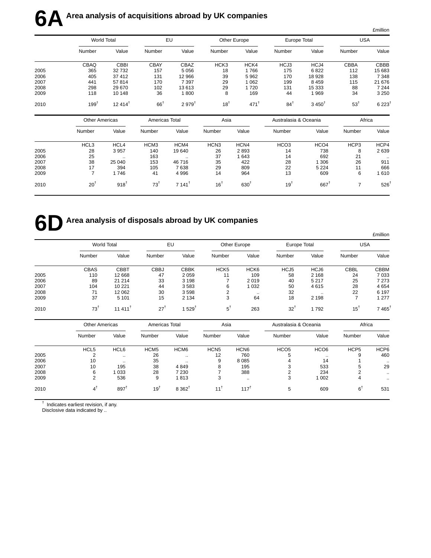|      | World Total           |                       |                 | EU                   |                  | Other Europe       | Europe Total          |                   | <b>USA</b>      |                    |
|------|-----------------------|-----------------------|-----------------|----------------------|------------------|--------------------|-----------------------|-------------------|-----------------|--------------------|
|      | Number                | Value                 | Number          | Value                | Number           | Value              | Number                | Value             | Number          | Value              |
|      | CBAQ                  | CBBI                  | <b>CBAY</b>     | CBAZ                 | HCK3             | HCK4               | HCJ3                  | HCJ4              | CBBA            | CBBB               |
| 2005 | 365                   | 32 732                | 157             | 5 0 5 6              | 18               | 1766               | 175                   | 6822              | 112             | 15 683             |
| 2006 | 405                   | 37 412                | 131             | 12 966               | 39               | 5962               | 170                   | 18 928            | 138             | 7 3 4 8            |
| 2007 | 441                   | 57814                 | 170             | 7 3 9 7              | 29               | 1 0 6 2            | 199                   | 8 4 5 9           | 115             | 21 676             |
| 2008 | 298                   | 29 670                | 102             | 13613                | 29               | 1720               | 131                   | 15 333            | 88              | 7 2 4 4            |
| 2009 | 118                   | 10 148                | 36              | 1800                 | 8                | 169                | 44                    | 1969              | 34              | 3 2 5 0            |
| 2010 | 199 <sup>†</sup>      | $12.414$ <sup>†</sup> | $66^{\dagger}$  | $2.979^{t}$          | 18 <sup>†</sup>  | $471$ <sup>t</sup> | $84^{\dagger}$        | $3,450^{\dagger}$ | 53 <sup>†</sup> | $6223^{\dagger}$   |
|      | <b>Other Americas</b> |                       | Americas Total  |                      | Asia             |                    | Australasia & Oceania |                   | Africa          |                    |
|      | Number                | Value                 | Number          | Value                | Number           | Value              | Number                | Value             | Number          | Value              |
|      | HCL3                  | HCL4                  | HCM3            | HCM4                 | HCN <sub>3</sub> | HCN4               | HCO <sub>3</sub>      | HCO <sub>4</sub>  | HCP3            | HCP4               |
| 2005 | 28                    | 3 9 5 7               | 140             | 19 640               | 26               | 2893               | 14                    | 738               | 8               | 2639               |
| 2006 | 25                    | $\ldots$              | 163             | $\ddotsc$            | 37               | 1 6 4 3            | 14                    | 692               | 21              | $\sim$             |
| 2007 | 38                    | 25 040                | 153             | 46716                | 35               | 422                | 28                    | 1 3 0 6           | 26              | 911                |
| 2008 | 17                    | 394                   | 105             | 7638                 | 29               | 809                | 22                    | 5 2 2 4           | 11              | 666                |
| 2009 | $\overline{7}$        | 1746                  | 41              | 4 9 9 6              | 14               | 964                | 13                    | 609               | 6               | 1610               |
| 2010 | $20^{\dagger}$        | $918^{+}$             | 73 <sup>†</sup> | $7.141$ <sup>†</sup> | $16^{\dagger}$   | $630^{1}$          | 19 <sup>†</sup>       | $667^{\dagger}$   | $\overline{7}$  | $526$ <sup>1</sup> |

# **6D** Area analysis of disposals abroad by UK companies

|      |                | <b>World Total</b>    |                | EU              |                  | Other Europe     |                       | Europe Total |             | <b>USA</b>           |  |
|------|----------------|-----------------------|----------------|-----------------|------------------|------------------|-----------------------|--------------|-------------|----------------------|--|
|      | Number         | Value                 | Number         | Value           | Number           | Value            | Number                | Value        | Number      | Value                |  |
|      | <b>CBAS</b>    | <b>CBBT</b>           | <b>CBBJ</b>    | <b>CBBK</b>     | HCK <sub>5</sub> | HCK <sub>6</sub> | HCJ5                  | HCJ6         | <b>CBBL</b> | <b>CBBM</b>          |  |
| 2005 | 110            | 12 6 68               | 47             | 2059            | 11               | 109              | 58                    | 2 1 6 8      | 24          | 7 0 3 3              |  |
| 2006 | 89             | 21 214                | 33             | 3 1 9 8         | 7                | 2019             | 40                    | 5 2 1 7      | 25          | 7 2 7 3              |  |
| 2007 | 104            | 10 221                | 44             | 3583            | 6                | 1 0 3 2          | 50                    | 4615         | 28          | 4654                 |  |
| 2008 | 71             | 12 062                | 30             | 3598            | 2                | $\cdot$ .        | 32                    | $\cdot$ .    | 22          | 6 1 9 7              |  |
| 2009 | 37             | 5 1 0 1               | 15             | 2 1 3 4         | 3                | 64               | 18                    | 2 1 9 8      | ⇁           | 1 2 7 7              |  |
| 2010 | $73^{\dagger}$ | $11.411$ <sup>†</sup> | $27^1$         | $529^{\dagger}$ | $5^{\dagger}$    | 263              | $32^{1}$              | 1792         | $15^{1}$    | $7.465$ <sup>T</sup> |  |
|      | Other Americas |                       | Americas Total |                 | Acia             |                  | Auetralacia & Oceania |              |             | $A$ frica            |  |

|      | <b>Other Americas</b> |                 | Americas Total   |                      | Asia             |                  | Australasia & Oceania |                  | Africa           |           |
|------|-----------------------|-----------------|------------------|----------------------|------------------|------------------|-----------------------|------------------|------------------|-----------|
|      | Number                | Value           | Number           | Value                | Number           | Value            | Number                | Value            | Number           | Value     |
|      | HCL <sub>5</sub>      | HCL6            | HCM <sub>5</sub> | HCM <sub>6</sub>     | HCN <sub>5</sub> | HCN <sub>6</sub> | HCO <sub>5</sub>      | HCO <sub>6</sub> | HCP <sub>5</sub> | HCP6      |
| 2005 | 2                     | $\cdot$ .       | 26               | $\ddot{\phantom{a}}$ | 12               | 760              |                       | $\cdot$ .        |                  | 460       |
| 2006 | 10                    | $\cdot$ .       | 35               | $\cdot$              | 9                | 8 0 8 5          |                       | 14               |                  | $\cdots$  |
| 2007 | 10                    | 195             | 38               | 4849                 |                  | 195              |                       | 533              | е                | 29        |
| 2008 | 6                     | 1 0 3 3         | 28               | 7 2 3 0              |                  | 388              |                       | 234              |                  |           |
| 2009 | 2                     | 536             | 9                | 1813                 | 3                | $\sim$           | 3                     | 1 0 0 2          | 4                | $\ddotsc$ |
| 2010 | $4^{\dagger}$         | $897^{\dagger}$ | $19^{1}$         | $8.362^{\dagger}$    | $11^{1}$         | $117^T$          | 5                     | 609              | $6^1$            | 531       |

† Indicates earliest revision, if any.

Disclosive data indicated by ..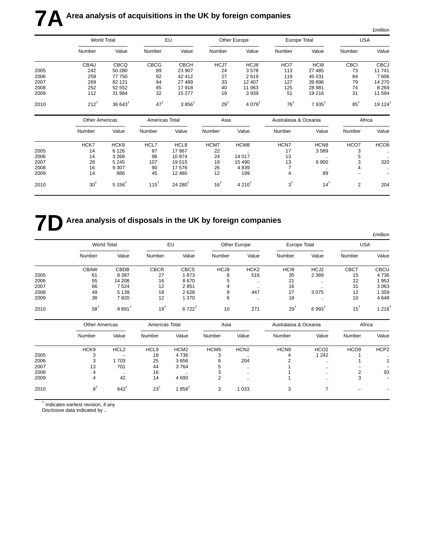| <b>USA</b>           |                | Europe Total     |                       | Other Europe         |                | EU                 |                 | World Total          |                       |      |
|----------------------|----------------|------------------|-----------------------|----------------------|----------------|--------------------|-----------------|----------------------|-----------------------|------|
|                      |                |                  |                       |                      |                |                    |                 |                      |                       |      |
| Value                | Number         | Value            | Number                | Value                | Number         | Value              | Number          | Value                | Number                |      |
| <b>CBCJ</b>          | <b>CBCI</b>    | HC <sub>18</sub> | HCI7                  | HCJ8                 | HCJ7           | <b>CBCH</b>        | <b>CBCG</b>     | <b>CBCQ</b>          | CBAU                  |      |
| 11741                | 73             | 27 485           | 113                   | 3578                 | 24             | 23 907             | 89              | 50 280               | 242                   | 2005 |
| 7 606                | 84             | 45 031           | 119                   | 2619                 | 27             | 42 412             | 92              | 77 750               | 259                   | 2006 |
| 14 270               | 79             | 39 896           | 127                   | 12 407               | 33             | 27 489             | 94              | 82 121               | 269                   | 2007 |
| 8 2 6 9              | 74             | 28 981           | 125                   | 11 063               | 40             | 17918              | 85              | 52 552               | 252                   | 2008 |
| 11 594               | 31             | 19 216           | 51                    | 3939                 | 19             | 15 277             | 32              | 31 984               | 112                   | 2009 |
| $19124$ <sup>1</sup> | $85^{\dagger}$ | $7935^{\dagger}$ | $76^{\dagger}$        | $4.079$ <sup>t</sup> | $29^{\dagger}$ | $3856^{\dagger}$   | 47 <sup>†</sup> | $36643^{\dagger}$    | $212^{1}$             | 2010 |
|                      | Africa         |                  | Australasia & Oceania |                      | Asia           |                    | Americas Total  |                      | <b>Other Americas</b> |      |
| Value                | Number         | Value            | Number                | Value                | Number         | Value              | Number          | Value                | Number                |      |
| HCO <sub>8</sub>     | HCO7           | HCN <sub>8</sub> | HCN7                  | HCM8                 | HCM7           | HCL8               | HCL7            | HCK8                 | HCK7                  |      |
| $\ddotsc$            | 3              | 3589             | 17                    | $\ldots$             | 22             | 17867              | 87              | 6 1 2 6              | 14                    | 2005 |
| $\ddotsc$            | 5              | $\sim$ $\sim$    | 13                    | 14 017               | 24             | 10874              | 98              | 3 2 6 8              | 14                    | 2006 |
| 320                  | 3              | 6 900            | 13                    | 15 4 90              | 19             | 19515              | 107             | 5 2 4 5              | 28                    | 2007 |
| $\ddotsc$            | 4              | $\ddotsc$        | 7                     | 4839                 | 26             | 17 576             | 90              | 9 3 0 7              | 16                    | 2008 |
|                      |                | 89               | 4                     | 199                  | 12             | 12 480             | 45              | 886                  | 14                    | 2009 |
| 204                  | 2              | $14^{\dagger}$   | $3^{\dagger}$         | $4210^{1}$           | $16^{\dagger}$ | $24,280^{\dagger}$ | $115^{\dagger}$ | $5.156$ <sup>t</sup> | 30 <sup>†</sup>       | 2010 |

# **7D** Area analysis of disposals in the UK by foreign companies

|      |                       |                  |                  |                  |                  |                  |                       |                      |                  | <b>£million</b>  |  |
|------|-----------------------|------------------|------------------|------------------|------------------|------------------|-----------------------|----------------------|------------------|------------------|--|
|      | <b>World Total</b>    |                  | EU               |                  |                  | Other Europe     |                       | Europe Total         |                  | <b>USA</b>       |  |
|      | Number                | Value            | Number           | Value            | Number           | Value            | Number                | Value                | Number           | Value            |  |
|      | <b>CBAW</b>           | <b>CBDB</b>      | <b>CBCR</b>      | <b>CBCS</b>      | HCJ9             | HCK <sub>2</sub> | HC <sub>I9</sub>      | HCJ2                 | <b>CBCT</b>      | <b>CBCU</b>      |  |
| 2005 | 61                    | 8 3 8 7          | 27               | 1873             | 8                | 516              | 35                    | 2 3 8 9              | 15               | 4736             |  |
| 2006 | 55                    | 14 208           | 16               | 8670             | 5                | $\ddotsc$        | 21                    |                      | 22               | 1953             |  |
| 2007 | 66                    | 7524             | 12               | 2851             | 4                | $\sim$ $\sim$    | 16                    | $\ddotsc$            | 31               | 3 0 6 3          |  |
| 2008 | 49                    | 5 1 3 9          | 18               | 2628             | 9                | 447              | 27                    | 3075                 | 12               | 1 3 5 9          |  |
| 2009 | 38                    | 7820             | 12               | 1 370            | 6                | $\sim$ $\sim$    | 18                    | $\ddot{\phantom{a}}$ | 10               | 4648             |  |
| 2010 | $58^{1}$              | $9891^{\dagger}$ | $19^{\dagger}$   | $6722^{t}$       | 10               | 271              | $29^{1}$              | $6993^{\dagger}$     | $15^{\dagger}$   | $1216^1$         |  |
|      | <b>Other Americas</b> |                  | Americas Total   |                  | Asia             |                  | Australasia & Oceania |                      | Africa           |                  |  |
|      | Number                | Value            | Number           | Value            | Number           | Value            | Number                | Value                | Number           | Value            |  |
|      | HCK <sub>9</sub>      | HCL <sub>2</sub> | HCL <sub>9</sub> | HCM <sub>2</sub> | HCM <sub>9</sub> | HCN <sub>2</sub> | HCN <sub>9</sub>      | HCO <sub>2</sub>     | HCO <sub>9</sub> | HCP <sub>2</sub> |  |
| 2005 | 3                     |                  | 18               | 4736             | 3                | $\sim$           | 4                     | 1 2 4 2              |                  | $\cdot\cdot$     |  |

2006 3 1 703 25 3 656 6 204 2 .. 1 1 2007 13 701 44 3 764 5 .. 1 .. − − 2008 4 .. 16 .. 3 .. 1 .. 2 93 2009 4 42 14 4 690 2 .. 1 .. 3 − 2010 8† 642† 23† 1 858† 3 1 033 3 7 − −

† Indicates earliest revision, if any

Disclosive data indicated by ..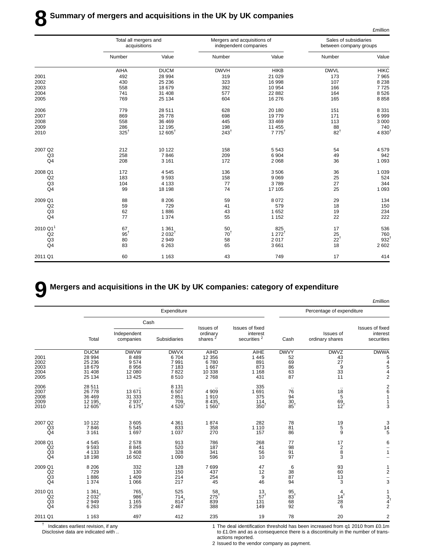|                      |                 | Total all mergers and<br>acquisitions |                 | Mergers and acquisitions of<br>independent companies | Sales of subsidiaries<br>between company groups |                 |
|----------------------|-----------------|---------------------------------------|-----------------|------------------------------------------------------|-------------------------------------------------|-----------------|
|                      | Number          | Value                                 | Number          | Value                                                | Number                                          | Value           |
|                      | AIHA            | <b>DUCM</b>                           | <b>DWVH</b>     | <b>HIKB</b>                                          | <b>DWVL</b>                                     | <b>HIKC</b>     |
| 2001                 | 492             | 28 994                                | 319             | 21 0 29                                              | 173                                             | 7965            |
| 2002                 | 430             | 25 236                                | 323             | 16 998                                               | 107                                             | 8 2 3 8         |
| 2003                 | 558             | 18 679                                | 392             | 10 954                                               | 166                                             | 7725            |
| 2004                 | 741             | 31 408                                | 577             | 22 8 82                                              | 164                                             | 8526            |
| 2005                 | 769             | 25 134                                | 604             | 16 276                                               | 165                                             | 8858            |
| 2006                 | 779             | 28 511                                | 628             | 20 180                                               | 151                                             | 8 3 3 1         |
| 2007                 | 869             | 26 778                                | 698             | 19779                                                | 171                                             | 6999            |
| 2008                 | 558             | 36 469                                | 445             | 33 469                                               | 113                                             | 3 0 0 0         |
| 2009                 | 286             | 12 195                                | 198             | 11 455                                               | 88                                              | 740             |
| 2010                 | $325^{\dagger}$ | $12605^{\dagger}$                     | $243^{\dagger}$ | $7775^{\dagger}$                                     | $82^{\dagger}$                                  | $4830^{1}$      |
| 2007 Q2              | 212             | 10 122                                | 158             | 5543                                                 | 54                                              | 4579            |
| Q <sub>3</sub>       | 258             | 7846                                  | 209             | 6904                                                 | 49                                              | 942             |
| Q4                   | 208             | 3 1 6 1                               | 172             | 2 0 6 8                                              | 36                                              | 1 0 9 3         |
| 2008 Q1              | 172             | 4545                                  | 136             | 3506                                                 | 36                                              | 1 0 3 9         |
| Q2                   | 183             | 9593                                  | 158             | 9 0 6 9                                              | 25                                              | 524             |
| Q <sub>3</sub>       | 104             | 4 1 3 3                               | 77              | 3789                                                 | 27                                              | 344             |
| Q4                   | 99              | 18 198                                | 74              | 17 105                                               | 25                                              | 1 0 9 3         |
| 2009 Q1              | 88              | 8 2 0 6                               | 59              | 8 0 7 2                                              | 29                                              | 134             |
| Q2                   | 59              | 729                                   | 41              | 579                                                  | 18                                              | 150             |
| Q <sub>3</sub>       | 62              | 1886                                  | 43              | 1652                                                 | 19                                              | 234             |
| Q <sub>4</sub>       | 77              | 1 3 7 4                               | 55              | 1 1 5 2                                              | 22                                              | 222             |
| 2010 Q1 <sup>1</sup> | 67              | 1 3 6 1                               | 50              | 825                                                  | 17                                              | 536             |
| Q2                   | $95^{\dagger}$  | $2032^{\dagger}$                      | $70^{\dagger}$  | $1272^{t}$                                           | 25                                              | 760             |
| Q <sub>3</sub>       | 80              | 2949                                  | 58              | 2017                                                 | $22^{\dagger}$                                  | $932^{\dagger}$ |
| Q4                   | 83              | 6 2 6 3                               | 65              | 3661                                                 | 18                                              | 2 602           |
| 2011 Q1              | 60              | 1 1 6 3                               | 43              | 749                                                  | 17                                              | 414             |

### **9 Mergers and acquisitions in the UK by UK companies: category of expenditure**

|                                                   |                                                               |                                                             |                                                        |                                                       |                                                 |                                                       |                                                                               | <b>£million</b>                                    |
|---------------------------------------------------|---------------------------------------------------------------|-------------------------------------------------------------|--------------------------------------------------------|-------------------------------------------------------|-------------------------------------------------|-------------------------------------------------------|-------------------------------------------------------------------------------|----------------------------------------------------|
|                                                   |                                                               |                                                             | Expenditure                                            |                                                       | Percentage of expenditure                       |                                                       |                                                                               |                                                    |
|                                                   |                                                               | Cash                                                        |                                                        |                                                       |                                                 |                                                       |                                                                               |                                                    |
|                                                   | Total                                                         | Independent<br>companies                                    | Subsidiaries                                           | <b>Issues of</b><br>ordinary<br>shares <sup>2</sup>   | Issues of fixed<br>interest<br>securities $^2$  | Cash                                                  | Issues of<br>ordinary shares                                                  | Issues of fixed<br>interest<br>securities          |
| 2001<br>2002<br>2003<br>2004<br>2005              | <b>DUCM</b><br>28 994<br>25 236<br>18 679<br>31 408<br>25 134 | <b>DWVW</b><br>8 4 8 9<br>9574<br>8956<br>12 080<br>13 4 25 | <b>DWVX</b><br>6704<br>7991<br>7 1 8 3<br>7822<br>8510 | AIHD<br>12 3 5 6<br>6780<br>1 6 6 7<br>10 338<br>2768 | AIHE<br>1 4 4 5<br>891<br>873<br>1 1 6 8<br>431 | <b>DWVY</b><br>52<br>69<br>86<br>$63$<br>$87$         | <b>DWVZ</b><br>43<br>27<br>9<br>33<br>11                                      | <b>DWWA</b><br>5<br>4542                           |
| 2006<br>2007<br>2008<br>2009<br>2010              | 28 511<br>26 778<br>36 469<br>12 195<br>12 605                | 13 671<br>31 333<br>2 9 3 7<br>$6,175$ <sup>†</sup>         | 8 1 3 1<br>6507<br>2851<br>709<br>$4520^{T}$           | 4 9 0 9<br>1910<br>8 4 3 5<br>1.560 <sup>†</sup>      | 335<br>1691<br>375<br>114.<br>350 <sup>†</sup>  | $\ddotsc$<br>76<br>94<br>$\frac{30}{85}$ <sup>†</sup> | $\cdot$ .<br>$\begin{array}{c} 18 \\ 5 \end{array}$<br>$69_{12}$ <sup>t</sup> | $\frac{2}{6}$<br>$\mathbf{1}$<br>$\mathbf{1}$<br>3 |
| 2007 Q2<br>Q <sub>3</sub><br>Q <sub>4</sub>       | 10 122<br>7846<br>3 1 6 1                                     | 3605<br>5 5 4 5<br>1697                                     | 4 3 6 1<br>833<br>1 0 3 7                              | 1874<br>358<br>270                                    | 282<br>1 1 1 0<br>157                           | 78<br>81<br>86                                        | $\begin{array}{c} 19 \\ 5 \end{array}$<br>9                                   | $\begin{array}{c} 3 \\ 14 \\ 5 \end{array}$        |
| 2008 Q1<br>Q2<br>Q <sub>3</sub><br>Q <sub>4</sub> | 4545<br>9593<br>4 1 3 3<br>18 198                             | 2578<br>8845<br>3 4 0 8<br>16 502                           | 913<br>520<br>328<br>1 0 9 0                           | 786<br>187<br>341<br>596                              | 268<br>41<br>56<br>10                           | 77<br>98<br>91<br>97                                  | 17<br>$\begin{array}{c} 2 \\ 8 \end{array}$<br>3                              | 6<br>$\mathbf{1}$                                  |
| 2009 Q1<br>Q2<br>Q <sub>3</sub><br>Q <sub>4</sub> | 8 2 0 6<br>729<br>1886<br>1 3 7 4                             | 332<br>130<br>1 4 0 9<br>1 0 6 6                            | 128<br>150<br>214<br>217                               | 7699<br>437<br>254<br>45                              | 47<br>12<br>9<br>46                             | 6<br>38<br>87<br>94                                   | 93<br>60<br>$\overline{13}$<br>3                                              | $\begin{array}{c} 1 \\ 2 \end{array}$<br>Ĭ.<br>3   |
| 2010 Q1<br>Q2<br>Q <sub>3</sub><br>Q4             | 1 3 6 1<br>2.032 <sup>†</sup><br>2949<br>6 2 6 3              | 765<br>986<br>1 1 6 5<br>3 2 5 9                            | 525<br>714.<br>$814$ <sup>T</sup><br>2 4 6 7           | 58<br>$275^1$<br>839<br>388                           | $\frac{13}{57}$<br>131<br>149                   | $\frac{95}{83}$<br>68<br>92                           | $14^{+}$<br>28<br>6                                                           | 1<br>$\frac{3}{4}$ <sup>1</sup>                    |
| 2011 Q1                                           | 1 1 6 3                                                       | 497                                                         | 412                                                    | 235                                                   | 19                                              | 78                                                    | 20                                                                            | 2                                                  |

† Indicates earliest revision, if any

Disclosive data are indicated with ..

1 The deal identification threshold has been increased from q1 2010 from £0.1m to £1.0m and as a consequence there is a discontinuity in the number of transactions reported.

£million

2 Issued to the vendor company as payment.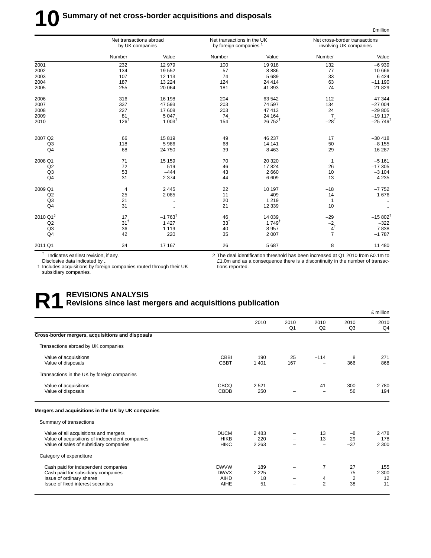# **10** Summary of net cross-border acquisitions and disposals

|                      | Net transactions abroad<br>by UK companies |                      | Net transactions in the UK<br>by foreign companies <sup>1</sup> |                   | Net cross-border transactions<br>involving UK companies |                       |
|----------------------|--------------------------------------------|----------------------|-----------------------------------------------------------------|-------------------|---------------------------------------------------------|-----------------------|
|                      | Number                                     | Value                | Number                                                          | Value             | Number                                                  | Value                 |
| 2001                 | 232                                        | 12 979               | 100                                                             | 19918             | 132                                                     | $-6939$               |
| 2002                 | 134                                        | 19552                | 57                                                              | 8886              | 77                                                      | 10 666                |
| 2003                 | 107                                        | 12 113               | 74                                                              | 5 6 8 9           | 33                                                      | 6424                  |
| 2004                 | 187                                        | 13 2 24              | 124                                                             | 24 4 14           | 63                                                      | $-111190$             |
| 2005                 | 255                                        | 20 064               | 181                                                             | 41 893            | 74                                                      | $-21829$              |
| 2006                 | 316                                        | 16 198               | 204                                                             | 63 542            | 112                                                     | $-47344$              |
| 2007                 | 337                                        | 47 593               | 203                                                             | 74 597            | 134                                                     | $-27004$              |
| 2008                 | 227                                        | 17 608               | 203                                                             | 47 413            | 24                                                      | $-29805$              |
| 2009                 | 81                                         | 5 0 4 7              | 74                                                              | 24 164            | $\overline{7}$                                          | $-19117$              |
| 2010                 | $126^{\dagger}$                            | $1003^{\dagger}$     | $154^{\dagger}$                                                 | $26752^{\dagger}$ | $-28$ <sup>t</sup>                                      | $-25749$ <sup>†</sup> |
| 2007 Q2              | 66                                         | 15819                | 49                                                              | 46 237            | 17                                                      | $-30418$              |
| Q <sub>3</sub>       | 118                                        | 5986                 | 68                                                              | 14 14 1           | 50                                                      | $-8155$               |
| Q <sub>4</sub>       | 68                                         | 24 750               | 39                                                              | 8 4 6 3           | 29                                                      | 16 287                |
| 2008 Q1              | 71                                         | 15 159               | 70                                                              | 20 320            | 1                                                       | $-5161$               |
| Q2                   | 72                                         | 519                  | 46                                                              | 17824             | 26                                                      | $-17305$              |
| Q <sub>3</sub>       | 53                                         | $-444$               | 43                                                              | 2 6 6 0           | 10                                                      | $-3104$               |
| Q4                   | 31                                         | 2 3 7 4              | 44                                                              | 6 6 0 9           | $-13$                                                   | $-4235$               |
| 2009 Q1              | 4                                          | 2 4 4 5              | 22                                                              | 10 197            | $-18$                                                   | $-7752$               |
| Q2                   | 25                                         | 2 0 8 5              | 11                                                              | 409               | 14                                                      | 1676                  |
| Q <sub>3</sub>       | 21                                         | $\ddotsc$            | 20                                                              | 1 2 1 9           | $\mathbf{1}$                                            |                       |
| Q <sub>4</sub>       | 31                                         | $\ldots$             | 21                                                              | 12 339            | 10                                                      |                       |
| 2010 Q1 <sup>2</sup> | 17                                         | $-1763$ <sup>t</sup> | 46                                                              | 14 039            | $-29$                                                   | $-15802$ <sup>t</sup> |
| Q2                   | $31^{+}$                                   | 1 4 2 7              | 33 <sup>†</sup>                                                 | $1749^{\dagger}$  |                                                         | $-322$                |
| Q <sub>3</sub>       | 36                                         | 1 1 1 9              | 40                                                              | 8 9 5 7           | $^{-2}_{-4}$ <sup>+</sup>                               | $-7838$               |
| Q4                   | 42                                         | 220                  | 35                                                              | 2 0 0 7           | $\overline{7}$                                          | $-1787$               |
| 2011 Q1              | 34                                         | 17 167               | 26                                                              | 5 6 8 7           | 8                                                       | 11 480                |

† Indicates earliest revision, if any.

Disclosive data indicated by ..

1 Includes acquisitions by foreign companies routed through their UK subsidiary companies.

2 The deal identification threshold has been increased at Q1 2010 from £0.1m to £1.0m and as a consequence there is a discontinuity in the number of transactions reported.

£million

### **R1 REVISIONS ANALYSIS Revisions since last mergers and acquisitions publication**

|                                                                                                                                             |                                                          |                            |                        |                                                      |                                     | £ million                  |
|---------------------------------------------------------------------------------------------------------------------------------------------|----------------------------------------------------------|----------------------------|------------------------|------------------------------------------------------|-------------------------------------|----------------------------|
|                                                                                                                                             |                                                          | 2010                       | 2010<br>Q <sub>1</sub> | 2010<br>Q2                                           | 2010<br>Q <sub>3</sub>              | 2010<br>Q4                 |
| Cross-border mergers, acquisitions and disposals                                                                                            |                                                          |                            |                        |                                                      |                                     |                            |
| Transactions abroad by UK companies                                                                                                         |                                                          |                            |                        |                                                      |                                     |                            |
| Value of acquisitions<br>Value of disposals                                                                                                 | CBBI<br>CBBT                                             | 190<br>1 4 0 1             | 25<br>167              | $-114$                                               | 8<br>366                            | 271<br>868                 |
| Transactions in the UK by foreign companies                                                                                                 |                                                          |                            |                        |                                                      |                                     |                            |
| Value of acquisitions<br>Value of disposals                                                                                                 | <b>CBCQ</b><br><b>CBDB</b>                               | $-2521$<br>250             |                        | $-41$                                                | 300<br>56                           | $-2780$<br>194             |
| Mergers and acquisitions in the UK by UK companies                                                                                          |                                                          |                            |                        |                                                      |                                     |                            |
| Summary of transactions                                                                                                                     |                                                          |                            |                        |                                                      |                                     |                            |
| Value of all acquisitions and mergers<br>Value of acquisitions of independent companies<br>Value of sales of subsidiary companies           | <b>DUCM</b><br><b>HIKB</b><br><b>HIKC</b>                | 2483<br>220<br>2 2 6 3     |                        | 13<br>13<br>$\qquad \qquad -$                        | $-8$<br>29<br>$-37$                 | 2 4 7 8<br>178<br>2 3 0 0  |
| Category of expenditure                                                                                                                     |                                                          |                            |                        |                                                      |                                     |                            |
| Cash paid for independent companies<br>Cash paid for subsidiary companies<br>Issue of ordinary shares<br>Issue of fixed interest securities | <b>DWVW</b><br><b>DWVX</b><br><b>AIHD</b><br><b>AIHE</b> | 189<br>2 2 2 5<br>18<br>51 |                        | 7<br>$\overline{\phantom{0}}$<br>4<br>$\overline{2}$ | 27<br>$-75$<br>$\overline{2}$<br>38 | 155<br>2 3 0 0<br>12<br>11 |